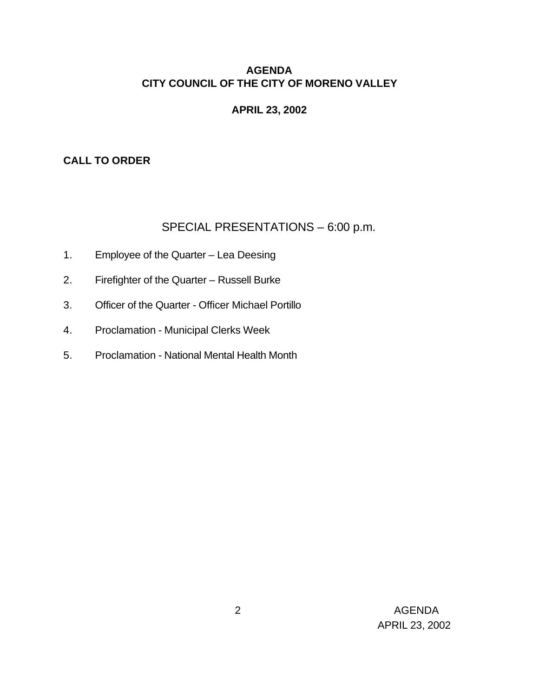# **AGENDA CITY COUNCIL OF THE CITY OF MORENO VALLEY**

### **APRIL 23, 2002**

#### **CALL TO ORDER**

# SPECIAL PRESENTATIONS – 6:00 p.m.

- 1. Employee of the Quarter Lea Deesing
- 2. Firefighter of the Quarter Russell Burke
- 3. Officer of the Quarter Officer Michael Portillo
- 4. Proclamation Municipal Clerks Week
- 5. Proclamation National Mental Health Month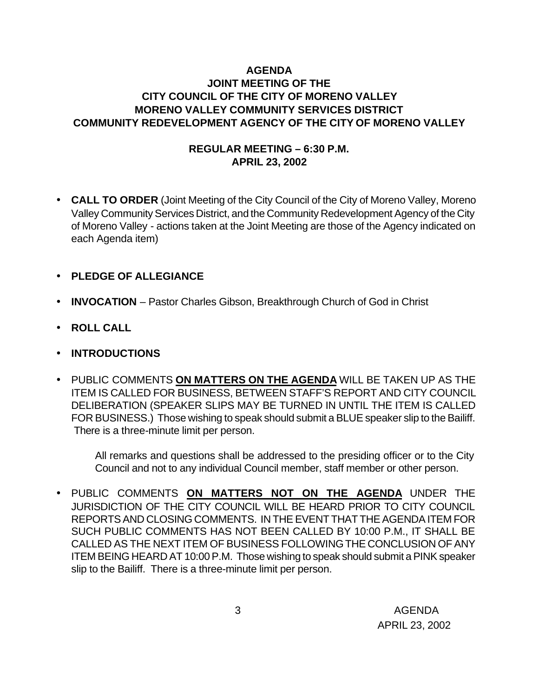# **AGENDA JOINT MEETING OF THE CITY COUNCIL OF THE CITY OF MORENO VALLEY MORENO VALLEY COMMUNITY SERVICES DISTRICT COMMUNITY REDEVELOPMENT AGENCY OF THE CITY OF MORENO VALLEY**

# **REGULAR MEETING – 6:30 P.M. APRIL 23, 2002**

- **CALL TO ORDER** (Joint Meeting of the City Council of the City of Moreno Valley, Moreno Valley Community Services District, and the Community Redevelopment Agency of the City of Moreno Valley - actions taken at the Joint Meeting are those of the Agency indicated on each Agenda item)
- **PLEDGE OF ALLEGIANCE**
- **INVOCATION** Pastor Charles Gibson, Breakthrough Church of God in Christ
- **ROLL CALL**
- **INTRODUCTIONS**
- PUBLIC COMMENTS **ON MATTERS ON THE AGENDA** WILL BE TAKEN UP AS THE ITEM IS CALLED FOR BUSINESS, BETWEEN STAFF'S REPORT AND CITY COUNCIL DELIBERATION (SPEAKER SLIPS MAY BE TURNED IN UNTIL THE ITEM IS CALLED FOR BUSINESS.) Those wishing to speak should submit a BLUE speaker slip to the Bailiff. There is a three-minute limit per person.

All remarks and questions shall be addressed to the presiding officer or to the City Council and not to any individual Council member, staff member or other person.

• PUBLIC COMMENTS **ON MATTERS NOT ON THE AGENDA** UNDER THE JURISDICTION OF THE CITY COUNCIL WILL BE HEARD PRIOR TO CITY COUNCIL REPORTS AND CLOSING COMMENTS. IN THE EVENT THAT THE AGENDA ITEM FOR SUCH PUBLIC COMMENTS HAS NOT BEEN CALLED BY 10:00 P.M., IT SHALL BE CALLED AS THE NEXT ITEM OF BUSINESS FOLLOWING THE CONCLUSION OF ANY ITEM BEING HEARD AT 10:00 P.M. Those wishing to speak should submit a PINK speaker slip to the Bailiff. There is a three-minute limit per person.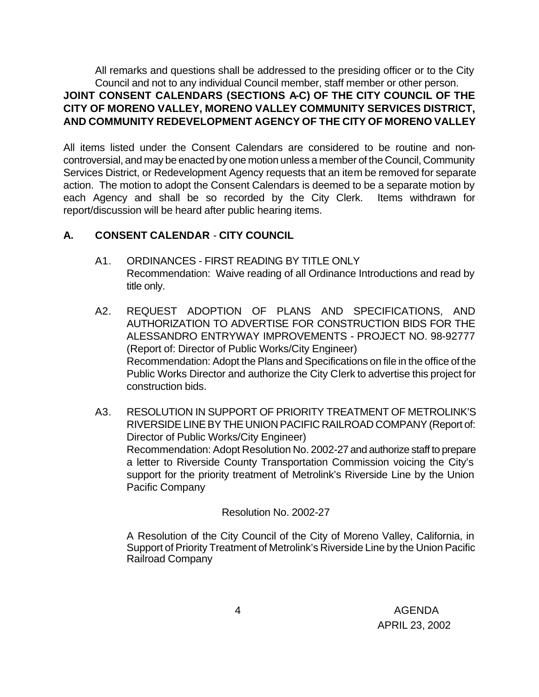All remarks and questions shall be addressed to the presiding officer or to the City Council and not to any individual Council member, staff member or other person.

# **JOINT CONSENT CALENDARS (SECTIONS A-C) OF THE CITY COUNCIL OF THE CITY OF MORENO VALLEY, MORENO VALLEY COMMUNITY SERVICES DISTRICT, AND COMMUNITY REDEVELOPMENT AGENCY OF THE CITY OF MORENO VALLEY**

All items listed under the Consent Calendars are considered to be routine and noncontroversial, and may be enacted by one motion unless a member of the Council, Community Services District, or Redevelopment Agency requests that an item be removed for separate action. The motion to adopt the Consent Calendars is deemed to be a separate motion by each Agency and shall be so recorded by the City Clerk. Items withdrawn for report/discussion will be heard after public hearing items.

# **A. CONSENT CALENDAR** - **CITY COUNCIL**

- A1. ORDINANCES FIRST READING BY TITLE ONLY Recommendation: Waive reading of all Ordinance Introductions and read by title only.
- A2. REQUEST ADOPTION OF PLANS AND SPECIFICATIONS, AND AUTHORIZATION TO ADVERTISE FOR CONSTRUCTION BIDS FOR THE ALESSANDRO ENTRYWAY IMPROVEMENTS - PROJECT NO. 98-92777 (Report of: Director of Public Works/City Engineer) Recommendation: Adopt the Plans and Specifications on file in the office of the Public Works Director and authorize the City Clerk to advertise this project for construction bids.
- A3. RESOLUTION IN SUPPORT OF PRIORITY TREATMENT OF METROLINK'S RIVERSIDE LINE BY THE UNION PACIFIC RAILROAD COMPANY (Report of: Director of Public Works/City Engineer) Recommendation: Adopt Resolution No. 2002-27 and authorize staff to prepare a letter to Riverside County Transportation Commission voicing the City's support for the priority treatment of Metrolink's Riverside Line by the Union Pacific Company

Resolution No. 2002-27

A Resolution of the City Council of the City of Moreno Valley, California, in Support of Priority Treatment of Metrolink's Riverside Line by the Union Pacific Railroad Company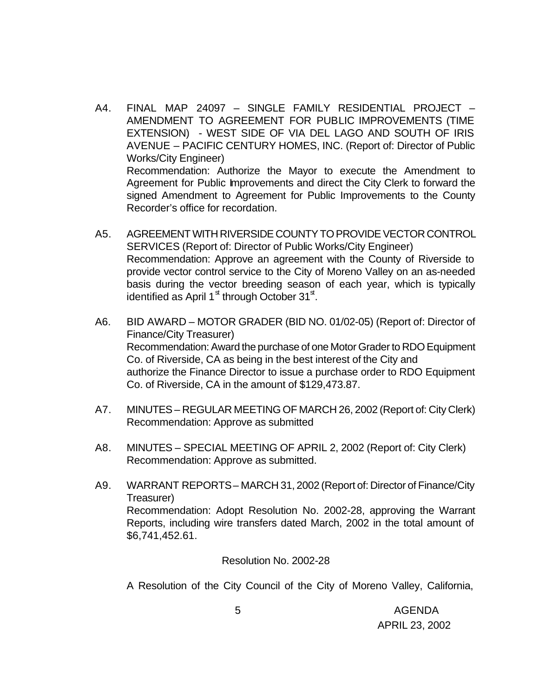- A4. FINAL MAP 24097 SINGLE FAMILY RESIDENTIAL PROJECT AMENDMENT TO AGREEMENT FOR PUBLIC IMPROVEMENTS (TIME EXTENSION) - WEST SIDE OF VIA DEL LAGO AND SOUTH OF IRIS AVENUE – PACIFIC CENTURY HOMES, INC. (Report of: Director of Public Works/City Engineer) Recommendation: Authorize the Mayor to execute the Amendment to Agreement for Public Improvements and direct the City Clerk to forward the signed Amendment to Agreement for Public Improvements to the County Recorder's office for recordation.
- A5. AGREEMENT WITH RIVERSIDE COUNTY TO PROVIDE VECTOR CONTROL SERVICES (Report of: Director of Public Works/City Engineer) Recommendation: Approve an agreement with the County of Riverside to provide vector control service to the City of Moreno Valley on an as-needed basis during the vector breeding season of each year, which is typically identified as April 1 $\mathrm{st}$  through October 31 $\mathrm{st}$ .
- A6. BID AWARD MOTOR GRADER (BID NO. 01/02-05) (Report of: Director of Finance/City Treasurer) Recommendation: Award the purchase of one Motor Grader to RDO Equipment Co. of Riverside, CA as being in the best interest of the City and authorize the Finance Director to issue a purchase order to RDO Equipment Co. of Riverside, CA in the amount of \$129,473.87.
- A7. MINUTES REGULAR MEETING OF MARCH 26, 2002 (Report of: City Clerk) Recommendation: Approve as submitted
- A8. MINUTES SPECIAL MEETING OF APRIL 2, 2002 (Report of: City Clerk) Recommendation: Approve as submitted.
- A9. WARRANT REPORTS MARCH 31, 2002 (Report of: Director of Finance/City Treasurer) Recommendation: Adopt Resolution No. 2002-28, approving the Warrant Reports, including wire transfers dated March, 2002 in the total amount of \$6,741,452.61.

Resolution No. 2002-28

A Resolution of the City Council of the City of Moreno Valley, California,

 5 AGENDA APRIL 23, 2002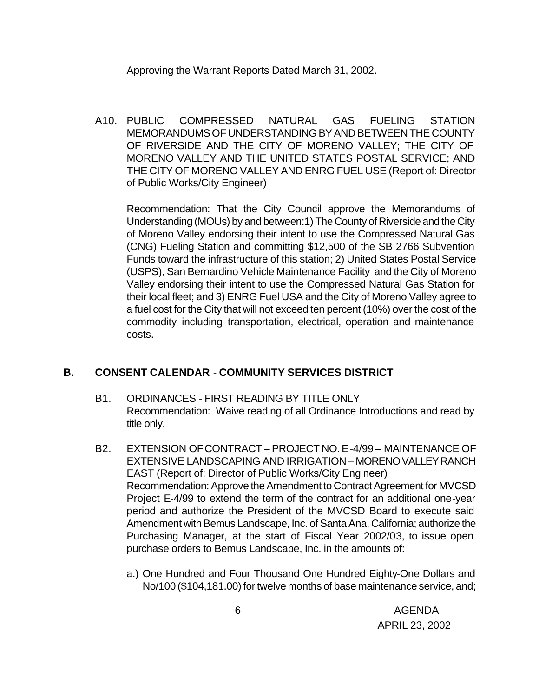Approving the Warrant Reports Dated March 31, 2002.

A10. PUBLIC COMPRESSED NATURAL GAS FUELING STATION MEMORANDUMS OF UNDERSTANDING BY AND BETWEEN THE COUNTY OF RIVERSIDE AND THE CITY OF MORENO VALLEY; THE CITY OF MORENO VALLEY AND THE UNITED STATES POSTAL SERVICE; AND THE CITY OF MORENO VALLEY AND ENRG FUEL USE (Report of: Director of Public Works/City Engineer)

Recommendation: That the City Council approve the Memorandums of Understanding (MOUs) by and between:1) The County of Riverside and the City of Moreno Valley endorsing their intent to use the Compressed Natural Gas (CNG) Fueling Station and committing \$12,500 of the SB 2766 Subvention Funds toward the infrastructure of this station; 2) United States Postal Service (USPS), San Bernardino Vehicle Maintenance Facility and the City of Moreno Valley endorsing their intent to use the Compressed Natural Gas Station for their local fleet; and 3) ENRG Fuel USA and the City of Moreno Valley agree to a fuel cost for the City that will not exceed ten percent (10%) over the cost of the commodity including transportation, electrical, operation and maintenance costs.

# **B. CONSENT CALENDAR** - **COMMUNITY SERVICES DISTRICT**

- B1. ORDINANCES FIRST READING BY TITLE ONLY Recommendation: Waive reading of all Ordinance Introductions and read by title only.
- B2. EXTENSION OF CONTRACT PROJECT NO. E-4/99 MAINTENANCE OF EXTENSIVE LANDSCAPING AND IRRIGATION – MORENO VALLEY RANCH EAST (Report of: Director of Public Works/City Engineer) Recommendation: Approve the Amendment to Contract Agreement for MVCSD Project E-4/99 to extend the term of the contract for an additional one-year period and authorize the President of the MVCSD Board to execute said Amendment with Bemus Landscape, Inc. of Santa Ana, California; authorize the Purchasing Manager, at the start of Fiscal Year 2002/03, to issue open purchase orders to Bemus Landscape, Inc. in the amounts of:
	- a.) One Hundred and Four Thousand One Hundred Eighty-One Dollars and No/100 (\$104,181.00) for twelve months of base maintenance service, and;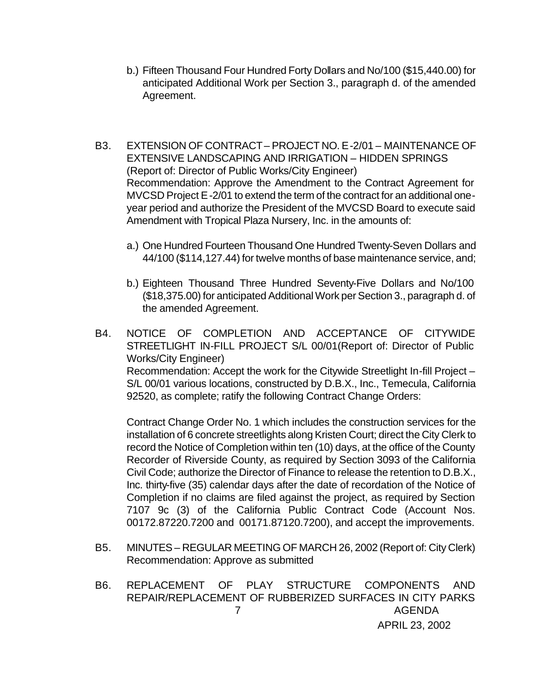- b.) Fifteen Thousand Four Hundred Forty Dollars and No/100 (\$15,440.00) for anticipated Additional Work per Section 3., paragraph d. of the amended Agreement.
- B3. EXTENSION OF CONTRACT PROJECT NO. E-2/01 MAINTENANCE OF EXTENSIVE LANDSCAPING AND IRRIGATION – HIDDEN SPRINGS (Report of: Director of Public Works/City Engineer) Recommendation: Approve the Amendment to the Contract Agreement for MVCSD Project E-2/01 to extend the term of the contract for an additional oneyear period and authorize the President of the MVCSD Board to execute said Amendment with Tropical Plaza Nursery, Inc. in the amounts of:
	- a.) One Hundred Fourteen Thousand One Hundred Twenty-Seven Dollars and 44/100 (\$114,127.44) for twelve months of base maintenance service, and;
	- b.) Eighteen Thousand Three Hundred Seventy-Five Dollars and No/100 (\$18,375.00) for anticipated Additional Work per Section 3., paragraph d. of the amended Agreement.
- B4. NOTICE OF COMPLETION AND ACCEPTANCE OF CITYWIDE STREETLIGHT IN-FILL PROJECT S/L 00/01(Report of: Director of Public Works/City Engineer) Recommendation: Accept the work for the Citywide Streetlight In-fill Project – S/L 00/01 various locations, constructed by D.B.X., Inc., Temecula, California 92520, as complete; ratify the following Contract Change Orders:

Contract Change Order No. 1 which includes the construction services for the installation of 6 concrete streetlights along Kristen Court; direct the City Clerk to record the Notice of Completion within ten (10) days, at the office of the County Recorder of Riverside County, as required by Section 3093 of the California Civil Code; authorize the Director of Finance to release the retention to D.B.X., Inc. thirty-five (35) calendar days after the date of recordation of the Notice of Completion if no claims are filed against the project, as required by Section 7107 9c (3) of the California Public Contract Code (Account Nos. 00172.87220.7200 and 00171.87120.7200), and accept the improvements.

- B5. MINUTES REGULAR MEETING OF MARCH 26, 2002 (Report of: City Clerk) Recommendation: Approve as submitted
- 7 AGENDA APRIL 23, 2002 B6. REPLACEMENT OF PLAY STRUCTURE COMPONENTS AND REPAIR/REPLACEMENT OF RUBBERIZED SURFACES IN CITY PARKS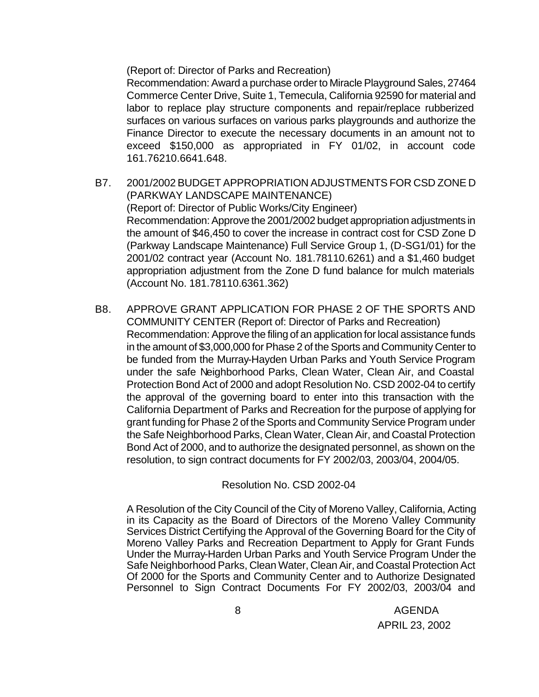(Report of: Director of Parks and Recreation)

Recommendation: Award a purchase order to Miracle Playground Sales, 27464 Commerce Center Drive, Suite 1, Temecula, California 92590 for material and labor to replace play structure components and repair/replace rubberized surfaces on various surfaces on various parks playgrounds and authorize the Finance Director to execute the necessary documents in an amount not to exceed \$150,000 as appropriated in FY 01/02, in account code 161.76210.6641.648.

- B7. 2001/2002 BUDGET APPROPRIATION ADJUSTMENTS FOR CSD ZONE D (PARKWAY LANDSCAPE MAINTENANCE) (Report of: Director of Public Works/City Engineer) Recommendation: Approve the 2001/2002 budget appropriation adjustments in the amount of \$46,450 to cover the increase in contract cost for CSD Zone D (Parkway Landscape Maintenance) Full Service Group 1, (D-SG1/01) for the 2001/02 contract year (Account No. 181.78110.6261) and a \$1,460 budget appropriation adjustment from the Zone D fund balance for mulch materials (Account No. 181.78110.6361.362)
- B8. APPROVE GRANT APPLICATION FOR PHASE 2 OF THE SPORTS AND COMMUNITY CENTER (Report of: Director of Parks and Recreation) Recommendation: Approve the filing of an application for local assistance funds in the amount of \$3,000,000 for Phase 2 of the Sports and Community Center to be funded from the Murray-Hayden Urban Parks and Youth Service Program under the safe Neighborhood Parks, Clean Water, Clean Air, and Coastal Protection Bond Act of 2000 and adopt Resolution No. CSD 2002-04 to certify the approval of the governing board to enter into this transaction with the California Department of Parks and Recreation for the purpose of applying for grant funding for Phase 2 of the Sports and Community Service Program under the Safe Neighborhood Parks, Clean Water, Clean Air, and Coastal Protection Bond Act of 2000, and to authorize the designated personnel, as shown on the resolution, to sign contract documents for FY 2002/03, 2003/04, 2004/05.

#### Resolution No. CSD 2002-04

A Resolution of the City Council of the City of Moreno Valley, California, Acting in its Capacity as the Board of Directors of the Moreno Valley Community Services District Certifying the Approval of the Governing Board for the City of Moreno Valley Parks and Recreation Department to Apply for Grant Funds Under the Murray-Harden Urban Parks and Youth Service Program Under the Safe Neighborhood Parks, Clean Water, Clean Air, and Coastal Protection Act Of 2000 for the Sports and Community Center and to Authorize Designated Personnel to Sign Contract Documents For FY 2002/03, 2003/04 and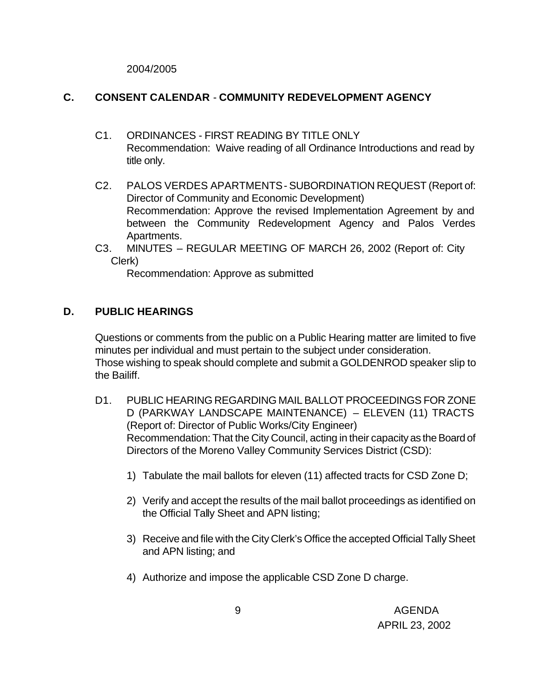2004/2005

# **C. CONSENT CALENDAR** - **COMMUNITY REDEVELOPMENT AGENCY**

- C1. ORDINANCES FIRST READING BY TITLE ONLY Recommendation: Waive reading of all Ordinance Introductions and read by title only.
- C2. PALOS VERDES APARTMENTS SUBORDINATION REQUEST (Report of: Director of Community and Economic Development) Recommendation: Approve the revised Implementation Agreement by and between the Community Redevelopment Agency and Palos Verdes Apartments.
- C3. MINUTES REGULAR MEETING OF MARCH 26, 2002 (Report of: City Clerk)

Recommendation: Approve as submitted

# **D. PUBLIC HEARINGS**

Questions or comments from the public on a Public Hearing matter are limited to five minutes per individual and must pertain to the subject under consideration. Those wishing to speak should complete and submit a GOLDENROD speaker slip to the Bailiff.

- D1. PUBLIC HEARING REGARDING MAIL BALLOT PROCEEDINGS FOR ZONE D (PARKWAY LANDSCAPE MAINTENANCE) – ELEVEN (11) TRACTS (Report of: Director of Public Works/City Engineer) Recommendation: That the City Council, acting in their capacity as the Board of Directors of the Moreno Valley Community Services District (CSD):
	- 1) Tabulate the mail ballots for eleven (11) affected tracts for CSD Zone D;
	- 2) Verify and accept the results of the mail ballot proceedings as identified on the Official Tally Sheet and APN listing;
	- 3) Receive and file with the City Clerk's Office the accepted Official Tally Sheet and APN listing; and
	- 4) Authorize and impose the applicable CSD Zone D charge.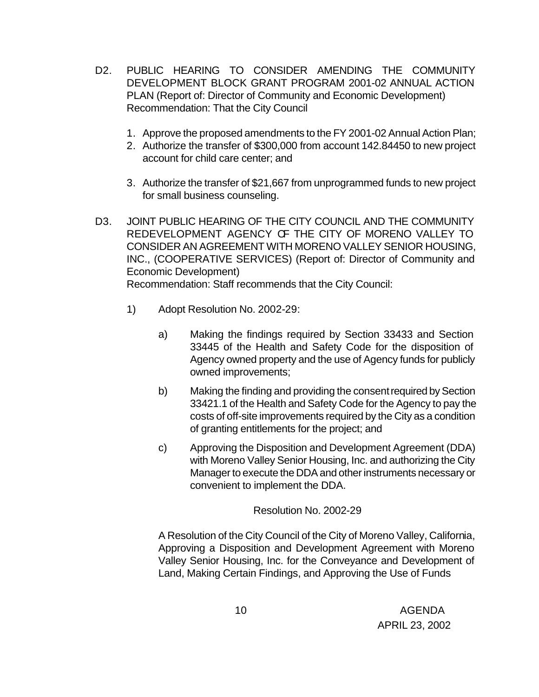- D2. PUBLIC HEARING TO CONSIDER AMENDING THE COMMUNITY DEVELOPMENT BLOCK GRANT PROGRAM 2001-02 ANNUAL ACTION PLAN (Report of: Director of Community and Economic Development) Recommendation: That the City Council
	- 1. Approve the proposed amendments to the FY 2001-02 Annual Action Plan;
	- 2. Authorize the transfer of \$300,000 from account 142.84450 to new project account for child care center; and
	- 3. Authorize the transfer of \$21,667 from unprogrammed funds to new project for small business counseling.
- D3. JOINT PUBLIC HEARING OF THE CITY COUNCIL AND THE COMMUNITY REDEVELOPMENT AGENCY OF THE CITY OF MORENO VALLEY TO CONSIDER AN AGREEMENT WITH MORENO VALLEY SENIOR HOUSING, INC., (COOPERATIVE SERVICES) (Report of: Director of Community and Economic Development) Recommendation: Staff recommends that the City Council:
	- 1) Adopt Resolution No. 2002-29:
		- a) Making the findings required by Section 33433 and Section 33445 of the Health and Safety Code for the disposition of Agency owned property and the use of Agency funds for publicly owned improvements;
		- b) Making the finding and providing the consent required by Section 33421.1 of the Health and Safety Code for the Agency to pay the costs of off-site improvements required by the City as a condition of granting entitlements for the project; and
		- c) Approving the Disposition and Development Agreement (DDA) with Moreno Valley Senior Housing, Inc. and authorizing the City Manager to execute the DDA and other instruments necessary or convenient to implement the DDA.

Resolution No. 2002-29

A Resolution of the City Council of the City of Moreno Valley, California, Approving a Disposition and Development Agreement with Moreno Valley Senior Housing, Inc. for the Conveyance and Development of Land, Making Certain Findings, and Approving the Use of Funds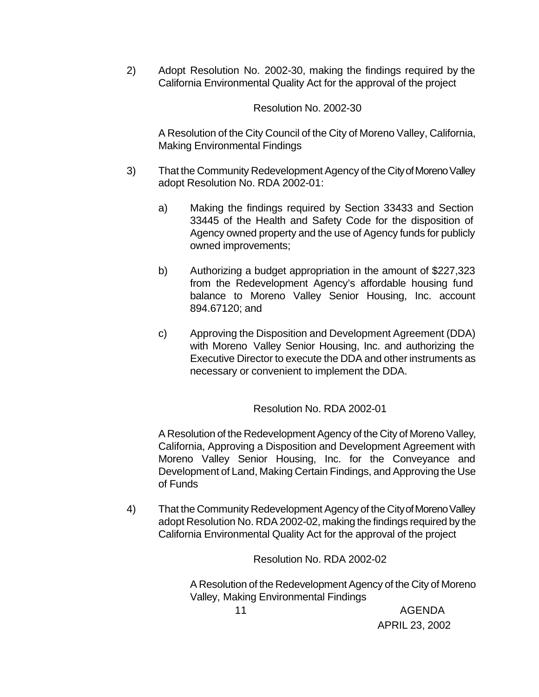2) Adopt Resolution No. 2002-30, making the findings required by the California Environmental Quality Act for the approval of the project

#### Resolution No. 2002-30

A Resolution of the City Council of the City of Moreno Valley, California, Making Environmental Findings

- 3) That the Community Redevelopment Agency of the City of Moreno Valley adopt Resolution No. RDA 2002-01:
	- a) Making the findings required by Section 33433 and Section 33445 of the Health and Safety Code for the disposition of Agency owned property and the use of Agency funds for publicly owned improvements;
	- b) Authorizing a budget appropriation in the amount of \$227,323 from the Redevelopment Agency's affordable housing fund balance to Moreno Valley Senior Housing, Inc. account 894.67120; and
	- c) Approving the Disposition and Development Agreement (DDA) with Moreno Valley Senior Housing, Inc. and authorizing the Executive Director to execute the DDA and other instruments as necessary or convenient to implement the DDA.

# Resolution No. RDA 2002-01

A Resolution of the Redevelopment Agency of the City of Moreno Valley, California, Approving a Disposition and Development Agreement with Moreno Valley Senior Housing, Inc. for the Conveyance and Development of Land, Making Certain Findings, and Approving the Use of Funds

4) That the Community Redevelopment Agency of the City of Moreno Valley adopt Resolution No. RDA 2002-02, making the findings required by the California Environmental Quality Act for the approval of the project

Resolution No. RDA 2002-02

A Resolution of the Redevelopment Agency of the City of Moreno Valley, Making Environmental Findings

 11 AGENDA APRIL 23, 2002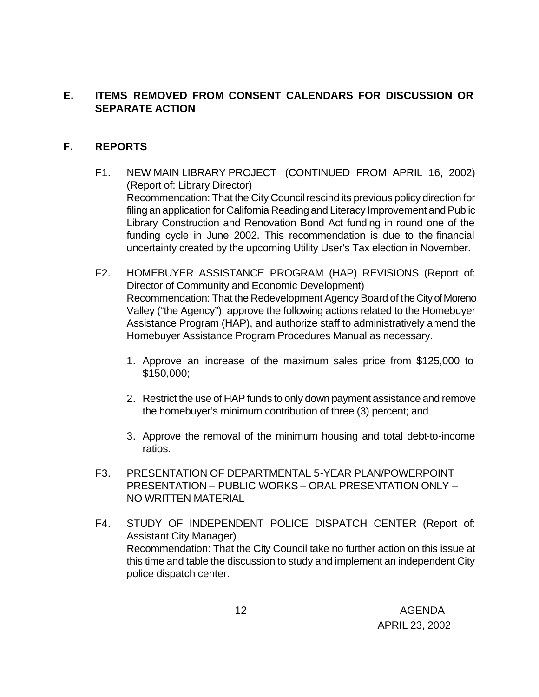# **E. ITEMS REMOVED FROM CONSENT CALENDARS FOR DISCUSSION OR SEPARATE ACTION**

### **F. REPORTS**

- F1. NEW MAIN LIBRARY PROJECT (CONTINUED FROM APRIL 16, 2002) (Report of: Library Director) Recommendation: That the City Council rescind its previous policy direction for filing an application for California Reading and Literacy Improvement and Public Library Construction and Renovation Bond Act funding in round one of the funding cycle in June 2002. This recommendation is due to the financial uncertainty created by the upcoming Utility User's Tax election in November.
- F2. HOMEBUYER ASSISTANCE PROGRAM (HAP) REVISIONS (Report of: Director of Community and Economic Development) Recommendation: That the Redevelopment Agency Board of the City of Moreno Valley ("the Agency"), approve the following actions related to the Homebuyer Assistance Program (HAP), and authorize staff to administratively amend the Homebuyer Assistance Program Procedures Manual as necessary.
	- 1. Approve an increase of the maximum sales price from \$125,000 to \$150,000;
	- 2. Restrict the use of HAP funds to only down payment assistance and remove the homebuyer's minimum contribution of three (3) percent; and
	- 3. Approve the removal of the minimum housing and total debt-to-income ratios.
- F3. PRESENTATION OF DEPARTMENTAL 5-YEAR PLAN/POWERPOINT PRESENTATION – PUBLIC WORKS – ORAL PRESENTATION ONLY – NO WRITTEN MATERIAL
- F4. STUDY OF INDEPENDENT POLICE DISPATCH CENTER (Report of: Assistant City Manager) Recommendation: That the City Council take no further action on this issue at this time and table the discussion to study and implement an independent City police dispatch center.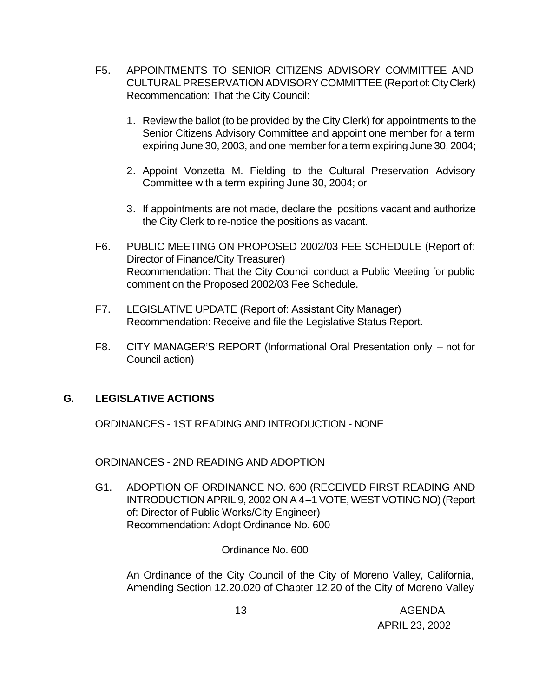- F5. APPOINTMENTS TO SENIOR CITIZENS ADVISORY COMMITTEE AND CULTURAL PRESERVATION ADVISORY COMMITTEE (Report of: City Clerk) Recommendation: That the City Council:
	- 1. Review the ballot (to be provided by the City Clerk) for appointments to the Senior Citizens Advisory Committee and appoint one member for a term expiring June 30, 2003, and one member for a term expiring June 30, 2004;
	- 2. Appoint Vonzetta M. Fielding to the Cultural Preservation Advisory Committee with a term expiring June 30, 2004; or
	- 3. If appointments are not made, declare the positions vacant and authorize the City Clerk to re-notice the positions as vacant.
- F6. PUBLIC MEETING ON PROPOSED 2002/03 FEE SCHEDULE (Report of: Director of Finance/City Treasurer) Recommendation: That the City Council conduct a Public Meeting for public comment on the Proposed 2002/03 Fee Schedule.
- F7. LEGISLATIVE UPDATE (Report of: Assistant City Manager) Recommendation: Receive and file the Legislative Status Report.
- F8. CITY MANAGER'S REPORT (Informational Oral Presentation only not for Council action)

# **G. LEGISLATIVE ACTIONS**

ORDINANCES - 1ST READING AND INTRODUCTION - NONE

ORDINANCES - 2ND READING AND ADOPTION

G1. ADOPTION OF ORDINANCE NO. 600 (RECEIVED FIRST READING AND INTRODUCTION APRIL 9, 2002 ON A 4–1 VOTE, WEST VOTING NO) (Report of: Director of Public Works/City Engineer) Recommendation: Adopt Ordinance No. 600

Ordinance No. 600

An Ordinance of the City Council of the City of Moreno Valley, California, Amending Section 12.20.020 of Chapter 12.20 of the City of Moreno Valley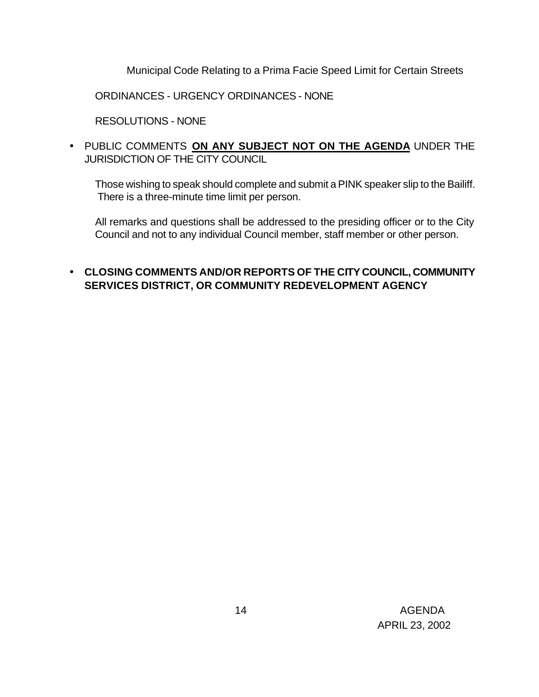Municipal Code Relating to a Prima Facie Speed Limit for Certain Streets

ORDINANCES - URGENCY ORDINANCES - NONE

RESOLUTIONS - NONE

• PUBLIC COMMENTS **ON ANY SUBJECT NOT ON THE AGENDA** UNDER THE JURISDICTION OF THE CITY COUNCIL

Those wishing to speak should complete and submit a PINK speaker slip to the Bailiff. There is a three-minute time limit per person.

All remarks and questions shall be addressed to the presiding officer or to the City Council and not to any individual Council member, staff member or other person.

# • **CLOSING COMMENTS AND/OR REPORTS OF THE CITY COUNCIL, COMMUNITY SERVICES DISTRICT, OR COMMUNITY REDEVELOPMENT AGENCY**